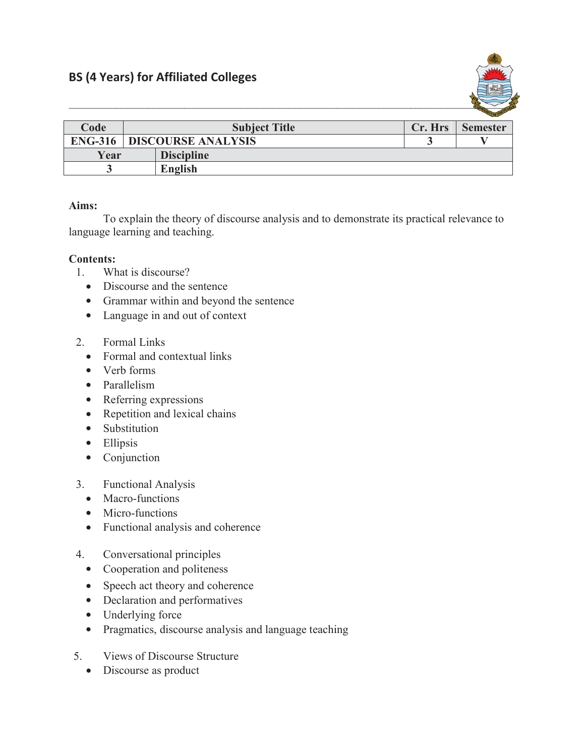

|      |                                     |                   |         | <b>Contract Contract Contract Contract</b> |
|------|-------------------------------------|-------------------|---------|--------------------------------------------|
| Code | <b>Subject Title</b>                |                   | Cr. Hrs | <b>Semester</b>                            |
|      | <b>ENG-316   DISCOURSE ANALYSIS</b> |                   |         |                                            |
| Year |                                     | <b>Discipline</b> |         |                                            |
|      |                                     | <b>English</b>    |         |                                            |

## **Aims:**

To explain the theory of discourse analysis and to demonstrate its practical relevance to language learning and teaching.

## **Contents:**

- 1. What is discourse?
	- Discourse and the sentence
	- Grammar within and beyond the sentence
	- Language in and out of context
- 2. Formal Links
	- Formal and contextual links
	- $\bullet$  Verb forms
	- Parallelism
	- $\bullet$  Referring expressions
	- $\bullet$  Repetition and lexical chains
	- Substitution
	- $\bullet$  Ellipsis
	- $\bullet$  Conjunction
- 3. Functional Analysis
	- Macro-functions
	- Micro-functions
	- Functional analysis and coherence
- 4. Conversational principles
	- Cooperation and politeness
	- Speech act theory and coherence
	- Declaration and performatives
	- $\bullet$  Underlying force
	- Pragmatics, discourse analysis and language teaching
- 5. Views of Discourse Structure
	- Discourse as product